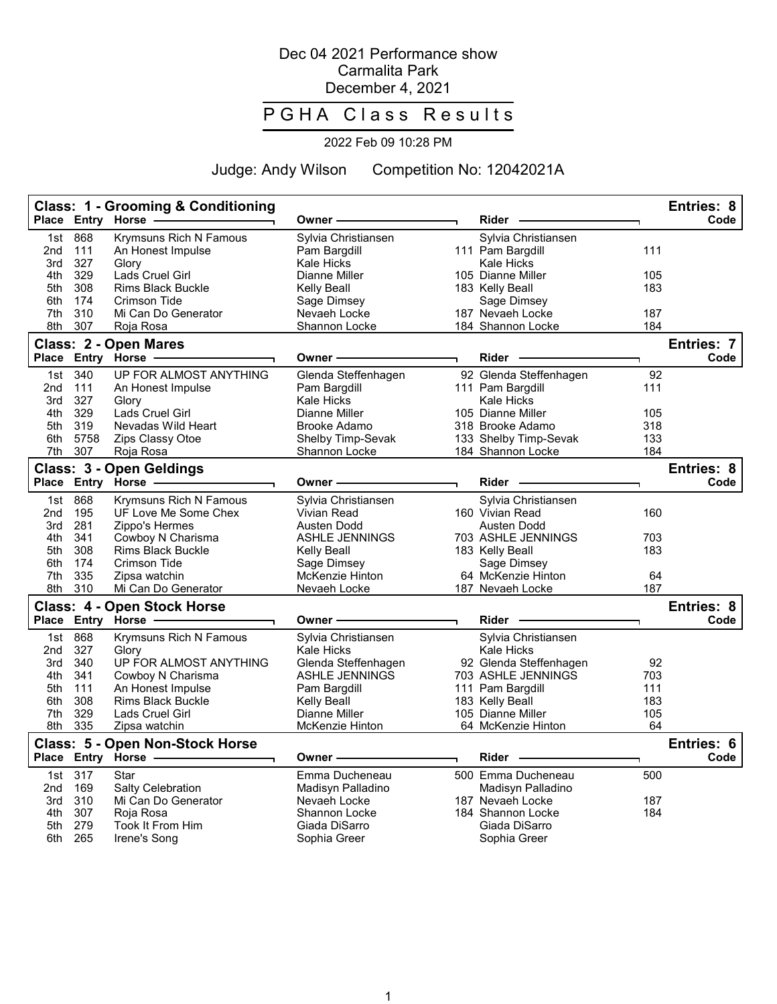## Dec 04 2021 Performance show Carmalita Park December 4, 2021

## P G H A Class Results

## 2022 Feb 09 10:28 PM

Judge: Andy Wilson Competition No: 12042021A

|              |            | <b>Class: 1 - Grooming &amp; Conditioning</b><br>Place Entry Horse | Owner -                                   | <b>Rider</b>                   |           | <b>Entries: 8</b><br>Code |
|--------------|------------|--------------------------------------------------------------------|-------------------------------------------|--------------------------------|-----------|---------------------------|
| 1st          | 868        | <b>Krymsuns Rich N Famous</b>                                      | Sylvia Christiansen                       | Sylvia Christiansen            |           |                           |
| 2nd          | 111        | An Honest Impulse                                                  | Pam Bargdill                              | 111 Pam Bargdill               | 111       |                           |
| 3rd          | 327        | Glory                                                              | <b>Kale Hicks</b>                         | <b>Kale Hicks</b>              |           |                           |
| 4th          | 329        | Lads Cruel Girl                                                    | Dianne Miller                             | 105 Dianne Miller              | 105       |                           |
| 5th          | 308        | <b>Rims Black Buckle</b>                                           | Kelly Beall                               | 183 Kelly Beall                | 183       |                           |
| 6th          | 174        | <b>Crimson Tide</b>                                                | Sage Dimsey                               | Sage Dimsey                    |           |                           |
| 7th          | 310        | Mi Can Do Generator                                                | Nevaeh Locke                              | 187 Nevaeh Locke               | 187       |                           |
| 8th          | 307        | Roja Rosa                                                          | Shannon Locke                             | 184 Shannon Locke              | 184       |                           |
|              |            | Class: 2 - Open Mares                                              |                                           |                                |           | <b>Entries: 7</b>         |
| <b>Place</b> |            | Entry Horse                                                        | Owner                                     | <b>Rider</b>                   |           | Code                      |
| 1st          | 340        | UP FOR ALMOST ANYTHING                                             | Glenda Steffenhagen                       | 92 Glenda Steffenhagen         | 92        |                           |
| 2nd          | 111        | An Honest Impulse                                                  | Pam Bargdill                              | 111 Pam Bargdill               | 111       |                           |
| 3rd          | 327        | Glory                                                              | Kale Hicks                                | Kale Hicks                     |           |                           |
| 4th          | 329        | Lads Cruel Girl                                                    | Dianne Miller                             | 105 Dianne Miller              | 105       |                           |
| 5th          | 319        | Nevadas Wild Heart                                                 | Brooke Adamo                              | 318 Brooke Adamo               | 318       |                           |
| 6th          | 5758       | Zips Classy Otoe                                                   | Shelby Timp-Sevak                         | 133 Shelby Timp-Sevak          | 133       |                           |
| 7th          | 307        | Roja Rosa                                                          | Shannon Locke                             | 184 Shannon Locke              | 184       |                           |
|              |            | Class: 3 - Open Geldings                                           |                                           |                                |           | Entries: 8                |
|              |            | Place Entry Horse                                                  | Owner-                                    | $Rider -$                      |           | Code                      |
|              |            |                                                                    |                                           |                                |           |                           |
| 1st          | 868        | Krymsuns Rich N Famous<br>UF Love Me Some Chex                     | Sylvia Christiansen<br><b>Vivian Read</b> | Sylvia Christiansen            | 160       |                           |
| 2nd<br>3rd   | 195<br>281 | Zippo's Hermes                                                     | Austen Dodd                               | 160 Vivian Read<br>Austen Dodd |           |                           |
| 4th          | 341        | Cowboy N Charisma                                                  | <b>ASHLE JENNINGS</b>                     | 703 ASHLE JENNINGS             | 703       |                           |
| 5th          | 308        | <b>Rims Black Buckle</b>                                           | Kelly Beall                               | 183 Kelly Beall                | 183       |                           |
| 6th          | 174        | Crimson Tide                                                       | Sage Dimsey                               | Sage Dimsey                    |           |                           |
| 7th          | 335        | Zipsa watchin                                                      | McKenzie Hinton                           | 64 McKenzie Hinton             | 64        |                           |
| 8th          | 310        | Mi Can Do Generator                                                | Nevaeh Locke                              | 187 Nevaeh Locke               | 187       |                           |
|              |            |                                                                    |                                           |                                |           | Entries: 8                |
| <b>Place</b> |            | <b>Class: 4 - Open Stock Horse</b><br>Entry Horse                  | Owner -                                   | <b>Rider</b>                   |           | Code                      |
|              |            |                                                                    |                                           |                                |           |                           |
| 1st          | 868        | <b>Krymsuns Rich N Famous</b>                                      | Sylvia Christiansen                       | Sylvia Christiansen            |           |                           |
| 2nd          | 327        | Glory                                                              | Kale Hicks                                | <b>Kale Hicks</b>              |           |                           |
| 3rd          | 340        | UP FOR ALMOST ANYTHING                                             | Glenda Steffenhagen                       | 92 Glenda Steffenhagen         | 92        |                           |
| 4th          | 341        | Cowboy N Charisma                                                  | <b>ASHLE JENNINGS</b>                     | 703 ASHLE JENNINGS             | 703       |                           |
| 5th          | 111        | An Honest Impulse                                                  | Pam Bargdill                              | 111 Pam Bargdill               | 111       |                           |
| 6th          | 308        | <b>Rims Black Buckle</b>                                           | Kelly Beall                               | 183 Kelly Beall                | 183       |                           |
| 7th          | 329        | Lads Cruel Girl                                                    | Dianne Miller                             | 105 Dianne Miller              | 105<br>64 |                           |
| 8th          | 335        | Zipsa watchin                                                      | McKenzie Hinton                           | 64 McKenzie Hinton             |           |                           |
|              |            | <b>Class: 5 - Open Non-Stock Horse</b>                             |                                           |                                |           | Entries: 6                |
|              |            | Place Entry Horse -                                                | Owner                                     | <b>Rider</b>                   |           | Code                      |
| 1st          | 317        | Star                                                               | Emma Ducheneau                            | 500 Emma Ducheneau             | 500       |                           |
| 2nd          | 169        | <b>Salty Celebration</b>                                           | Madisyn Palladino                         | Madisyn Palladino              |           |                           |
| 3rd          | 310        | Mi Can Do Generator                                                | Nevaeh Locke                              | 187 Nevaeh Locke               | 187       |                           |
| 4th          | 307        | Roja Rosa                                                          | Shannon Locke                             | 184 Shannon Locke              | 184       |                           |
| 5th          | 279        | Took It From Him                                                   | Giada DiSarro                             | Giada DiSarro                  |           |                           |
| 6th          | 265        | Irene's Song                                                       | Sophia Greer                              | Sophia Greer                   |           |                           |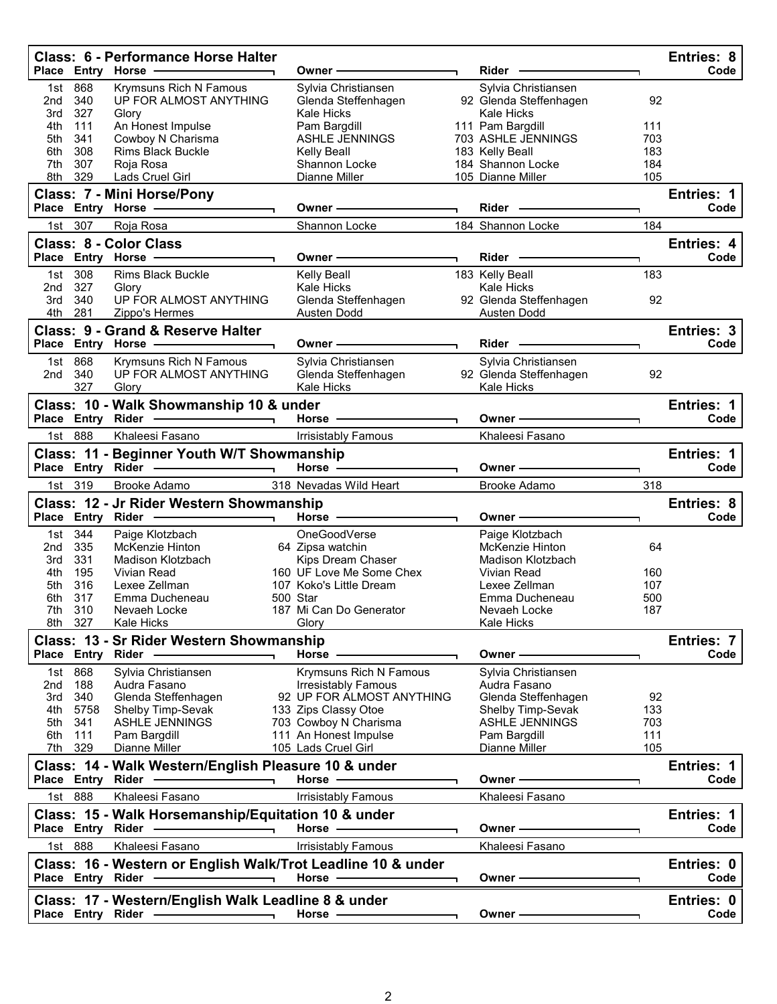|                   |                           | <b>Class: 6 - Performance Horse Halter</b><br>Place Entry Horse -                                                                                                                                                                                                          | Owner —                                                                                                                                                                                                                        | Rider –                                                     |            | Entries: 8<br>Code |
|-------------------|---------------------------|----------------------------------------------------------------------------------------------------------------------------------------------------------------------------------------------------------------------------------------------------------------------------|--------------------------------------------------------------------------------------------------------------------------------------------------------------------------------------------------------------------------------|-------------------------------------------------------------|------------|--------------------|
| 2nd               | 1st 868<br>340            | Krymsuns Rich N Famous<br>UP FOR ALMOST ANYTHING                                                                                                                                                                                                                           | Sylvia Christiansen<br>Glenda Steffenhagen                                                                                                                                                                                     | Sylvia Christiansen<br>92 Glenda Steffenhagen               | 92         |                    |
| 3rd<br>4th<br>5th | 327<br>111<br>341         | Glory<br>An Honest Impulse<br>Cowboy N Charisma                                                                                                                                                                                                                            | Kale Hicks<br>Pam Bargdill<br><b>ASHLE JENNINGS</b>                                                                                                                                                                            | Kale Hicks<br>111 Pam Bargdill<br>703 ASHLE JENNINGS        | 111<br>703 |                    |
| 6th               | 308                       | <b>Rims Black Buckle</b>                                                                                                                                                                                                                                                   | Kelly Beall                                                                                                                                                                                                                    | 183 Kelly Beall                                             | 183        |                    |
| 7th               | 307                       | Roja Rosa                                                                                                                                                                                                                                                                  | Shannon Locke                                                                                                                                                                                                                  | 184 Shannon Locke                                           | 184        |                    |
|                   | 8th 329                   | Lads Cruel Girl                                                                                                                                                                                                                                                            | Dianne Miller                                                                                                                                                                                                                  | 105 Dianne Miller                                           | 105        |                    |
|                   |                           | Class: 7 - Mini Horse/Pony<br>Place Entry Horse - The Manuscript                                                                                                                                                                                                           | Owner —                                                                                                                                                                                                                        | Rider -                                                     |            | Entries: 1<br>Code |
|                   | 1st 307                   | Roja Rosa                                                                                                                                                                                                                                                                  | Shannon Locke <b>Shannon</b>                                                                                                                                                                                                   | 184 Shannon Locke                                           | 184        |                    |
|                   |                           | <b>Class: 8 - Color Class</b><br>Place Entry Horse - The Management of the Management of the Management of the Management of the Management of                                                                                                                             | Owner —                                                                                                                                                                                                                        | $Rider$ —                                                   |            | Entries: 4<br>Code |
|                   | 1st 308                   | <b>Rims Black Buckle</b>                                                                                                                                                                                                                                                   | Kelly Beall                                                                                                                                                                                                                    | 183 Kelly Beall                                             | 183        |                    |
|                   | 2nd 327                   | Glory                                                                                                                                                                                                                                                                      | Kale Hicks                                                                                                                                                                                                                     | Kale Hicks                                                  |            |                    |
| 3rd               | 340                       | UP FOR ALMOST ANYTHING                                                                                                                                                                                                                                                     | Glenda Steffenhagen                                                                                                                                                                                                            | 92 Glenda Steffenhagen                                      | 92         |                    |
|                   | 4th 281                   | Zippo's Hermes                                                                                                                                                                                                                                                             | Austen Dodd<br><u>Letter</u>                                                                                                                                                                                                   | Austen Dodd                                                 |            |                    |
|                   |                           | <b>Class: 9 - Grand &amp; Reserve Halter</b>                                                                                                                                                                                                                               |                                                                                                                                                                                                                                |                                                             |            | Entries: 3<br>Code |
|                   |                           | Place Entry Horse - The Management of the Management of the Management of the Management of the Management of                                                                                                                                                              | Owner —                                                                                                                                                                                                                        | Rider –                                                     |            |                    |
|                   | 1st 868<br>2nd 340<br>327 | Krymsuns Rich N Famous<br>UP FOR ALMOST ANYTHING<br>Glory                                                                                                                                                                                                                  | Sylvia Christiansen<br>Glenda Steffenhagen<br>Kale Hicks                                                                                                                                                                       | Sylvia Christiansen<br>92 Glenda Steffenhagen<br>Kale Hicks | 92         |                    |
|                   |                           | Class: 10 - Walk Showmanship 10 & under                                                                                                                                                                                                                                    |                                                                                                                                                                                                                                |                                                             |            | Entries: 1         |
|                   |                           | Place Entry Rider - 2008                                                                                                                                                                                                                                                   | Horse - The Management of the Management of the Management of the Management of the Management of the Management of the Management of the Management of the Management of the Management of the Management of the Management o | Owner —                                                     |            | Code               |
|                   | 1st 888                   | Khaleesi Fasano                                                                                                                                                                                                                                                            | Irrisistably Famous                                                                                                                                                                                                            | Khaleesi Fasano                                             |            |                    |
|                   |                           | Class: 11 - Beginner Youth W/T Showmanship                                                                                                                                                                                                                                 |                                                                                                                                                                                                                                |                                                             |            | Entries: 1         |
|                   |                           | Place Entry Rider - and the control of the state of the state of the state of the state of the state of the state of the state of the state of the state of the state of the state of the state of the state of the state of t                                             | Horse - The Contract of the Contract of the Contract of the Contract of the Contract of the Contract of the Contract of the Contract of the Contract of the Contract of the Contract of the Contract of the Contract of the Co | Owner ———————                                               |            | Code               |
|                   | 1st 319                   | Brooke Adamo                                                                                                                                                                                                                                                               | 318 Nevadas Wild Heart                                                                                                                                                                                                         | Brooke Adamo                                                | 318        |                    |
|                   |                           | Class: 12 - Jr Rider Western Showmanship<br>Place Entry Rider - and the control of the state of the state of the state of the state of the state of the state of the state of the state of the state of the state of the state of the state of the state of the state of t | Horse $-$                                                                                                                                                                                                                      | Owner-                                                      |            | Entries: 8<br>Code |
|                   | 1st 344                   | Paige Klotzbach                                                                                                                                                                                                                                                            | OneGoodVerse                                                                                                                                                                                                                   | Paige Klotzbach                                             |            |                    |
| 2nd<br>3rd        | 335<br>331                | McKenzie Hinton<br>Madison Klotzbach                                                                                                                                                                                                                                       | 64 Zipsa watchin<br>Kips Dream Chaser                                                                                                                                                                                          | McKenzie Hinton<br>Madison Klotzbach                        | 64         |                    |
| 4th               | 195                       | Vivian Read                                                                                                                                                                                                                                                                | 160 UF Love Me Some Chex                                                                                                                                                                                                       | Vivian Read                                                 | 160        |                    |
| 5th               | 316                       | Lexee Zellman                                                                                                                                                                                                                                                              | 107 Koko's Little Dream                                                                                                                                                                                                        | Lexee Zellman                                               | 107        |                    |
| 6th               | 317                       | Emma Ducheneau                                                                                                                                                                                                                                                             | 500 Star                                                                                                                                                                                                                       | Emma Ducheneau                                              | 500        |                    |
|                   | 7th 310                   | Nevaeh Locke                                                                                                                                                                                                                                                               | 187 Mi Can Do Generator                                                                                                                                                                                                        | Nevaeh Locke                                                | 187        |                    |
|                   | 8th 327                   | <b>Kale Hicks</b>                                                                                                                                                                                                                                                          | Glory                                                                                                                                                                                                                          | Kale Hicks                                                  |            |                    |
|                   |                           | Class: 13 - Sr Rider Western Showmanship<br>Place Entry Rider -                                                                                                                                                                                                            | Horse -                                                                                                                                                                                                                        | Owner-                                                      |            | Entries: 7<br>Code |
|                   | 1st 868                   | Sylvia Christiansen                                                                                                                                                                                                                                                        | Krymsuns Rich N Famous                                                                                                                                                                                                         | Sylvia Christiansen                                         |            |                    |
| 2nd               | 188                       | Audra Fasano                                                                                                                                                                                                                                                               | <b>Irresistably Famous</b>                                                                                                                                                                                                     | Audra Fasano                                                |            |                    |
| 3rd               | 340                       | Glenda Steffenhagen                                                                                                                                                                                                                                                        | 92 UP FOR ALMOST ANYTHING                                                                                                                                                                                                      | Glenda Steffenhagen                                         | 92         |                    |
|                   | 4th 5758                  | Shelby Timp-Sevak                                                                                                                                                                                                                                                          | 133 Zips Classy Otoe                                                                                                                                                                                                           | Shelby Timp-Sevak                                           | 133        |                    |
| 5th               | 341                       | <b>ASHLE JENNINGS</b>                                                                                                                                                                                                                                                      | 703 Cowboy N Charisma                                                                                                                                                                                                          | <b>ASHLE JENNINGS</b>                                       | 703        |                    |
| 6th               | 111<br>7th 329            | Pam Bargdill<br>Dianne Miller                                                                                                                                                                                                                                              | 111 An Honest Impulse<br>105 Lads Cruel Girl                                                                                                                                                                                   | Pam Bargdill<br>Dianne Miller                               | 111<br>105 |                    |
|                   |                           | Class: 14 - Walk Western/English Pleasure 10 & under                                                                                                                                                                                                                       |                                                                                                                                                                                                                                |                                                             |            | Entries: 1         |
|                   |                           |                                                                                                                                                                                                                                                                            | Horse -                                                                                                                                                                                                                        | Owner —                                                     |            | Code               |
|                   | 1st 888                   | Khaleesi Fasano                                                                                                                                                                                                                                                            | <b>Irrisistably Famous</b>                                                                                                                                                                                                     | Khaleesi Fasano                                             |            |                    |
|                   |                           | Class: 15 - Walk Horsemanship/Equitation 10 & under                                                                                                                                                                                                                        |                                                                                                                                                                                                                                |                                                             |            | Entries: 1         |
|                   |                           | Place Entry Rider -<br>$\overline{\phantom{iiiiiiiiiiiiiii}}$                                                                                                                                                                                                              | Horse -                                                                                                                                                                                                                        | Owner –                                                     |            | Code               |
|                   | 1st 888                   | Khaleesi Fasano                                                                                                                                                                                                                                                            | <b>Irrisistably Famous</b>                                                                                                                                                                                                     | Khaleesi Fasano                                             |            |                    |
|                   |                           | Class: 16 - Western or English Walk/Trot Leadline 10 & under<br>Place Entry Rider _____________                                                                                                                                                                            | Horse .                                                                                                                                                                                                                        | Owner $\qquad$                                              |            | Entries: 0<br>Code |
|                   |                           |                                                                                                                                                                                                                                                                            |                                                                                                                                                                                                                                |                                                             |            |                    |
|                   |                           | Class: 17 - Western/English Walk Leadline 8 & under                                                                                                                                                                                                                        | Horse ————                                                                                                                                                                                                                     | Owner -                                                     |            | Entries: 0<br>Code |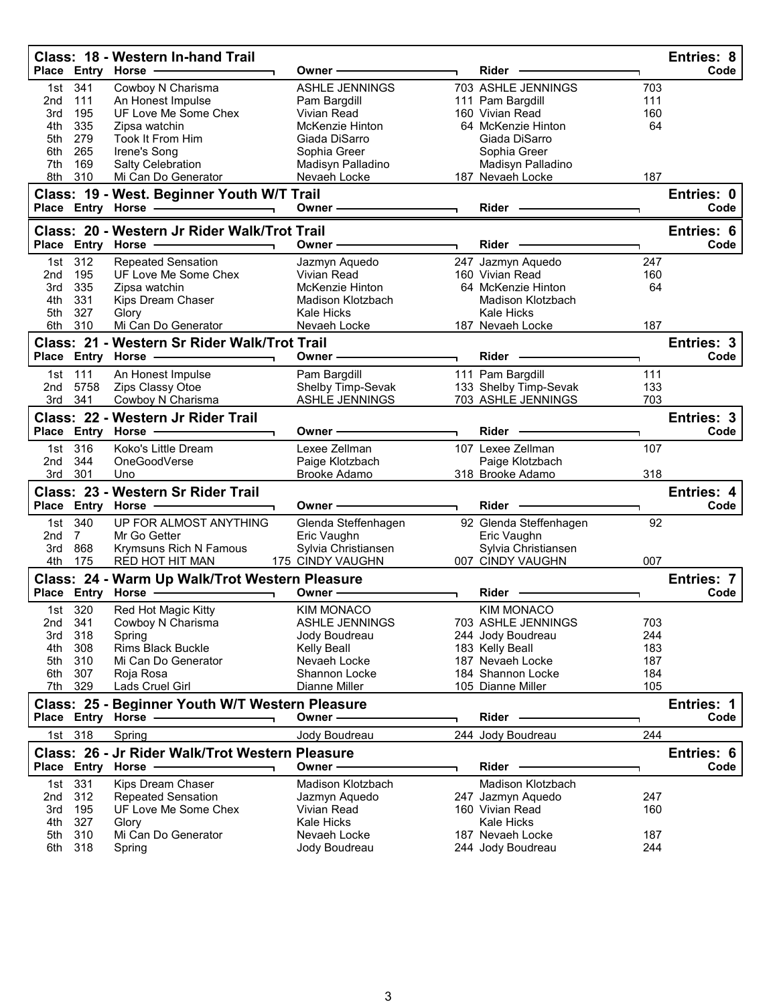|                 |             | Class: 18 - Western In-hand Trail                                 |                               |                                       |            | Entries: 8         |
|-----------------|-------------|-------------------------------------------------------------------|-------------------------------|---------------------------------------|------------|--------------------|
|                 |             | Place Entry Horse                                                 | Owner -                       | Rider -                               |            | Code               |
| 1st             | 341         | Cowboy N Charisma                                                 | <b>ASHLE JENNINGS</b>         | 703 ASHLE JENNINGS                    | 703        |                    |
| 2nd             | 111         | An Honest Impulse                                                 | Pam Bargdill                  | 111 Pam Bargdill                      | 111        |                    |
| 3rd             | 195         | UF Love Me Some Chex                                              | Vivian Read                   | 160 Vivian Read                       | 160        |                    |
| 4th             | 335         | Zipsa watchin                                                     | McKenzie Hinton               | 64 McKenzie Hinton                    | 64         |                    |
| 5th<br>6th      | 279<br>265  | Took It From Him<br>Irene's Song                                  | Giada DiSarro<br>Sophia Greer | Giada DiSarro<br>Sophia Greer         |            |                    |
| 7th             | 169         | Salty Celebration                                                 | Madisyn Palladino             | Madisyn Palladino                     |            |                    |
| 8th             | 310         | Mi Can Do Generator                                               | Nevaeh Locke                  | 187 Nevaeh Locke                      | 187        |                    |
|                 |             |                                                                   |                               |                                       |            |                    |
|                 |             | Class: 19 - West. Beginner Youth W/T Trail<br>Place Entry Horse - | Owner -                       | Rider -                               |            | Entries: 0<br>Code |
|                 |             |                                                                   |                               |                                       |            |                    |
|                 |             | Class: 20 - Western Jr Rider Walk/Trot Trail                      |                               |                                       |            | Entries: 6         |
| <b>Place</b>    |             | <b>Entry Horse</b>                                                | Owner-                        | Rider                                 |            | Code               |
| 1st.            | 312         | <b>Repeated Sensation</b>                                         | Jazmyn Aquedo                 | 247 Jazmyn Aquedo                     | 247        |                    |
| 2 <sub>nd</sub> | 195         | UF Love Me Some Chex                                              | Vivian Read                   | 160 Vivian Read                       | 160        |                    |
| 3rd             | 335         | Zipsa watchin                                                     | McKenzie Hinton               | 64 McKenzie Hinton                    | 64         |                    |
| 4th             | 331         | Kips Dream Chaser                                                 | Madison Klotzbach             | Madison Klotzbach<br>Kale Hicks       |            |                    |
| 5th<br>6th      | 327<br>310  | Glory<br>Mi Can Do Generator                                      | Kale Hicks                    |                                       | 187        |                    |
|                 |             |                                                                   | Nevaeh Locke                  | 187 Nevaeh Locke                      |            |                    |
|                 |             | Class: 21 - Western Sr Rider Walk/Trot Trail                      |                               |                                       |            | Entries: 3         |
|                 |             | Place Entry Horse                                                 | Owner -                       | Rider -                               |            | Code               |
| 1st             | 111         | An Honest Impulse                                                 | Pam Bargdill                  | 111 Pam Bargdill                      | 111        |                    |
| 2nd             | 5758        | Zips Classy Otoe                                                  | Shelby Timp-Sevak             | 133 Shelby Timp-Sevak                 | 133        |                    |
| 3rd             | 341         | Cowboy N Charisma                                                 | ASHLE JENNINGS                | 703 ASHLE JENNINGS                    | 703        |                    |
|                 |             | Class: 22 - Western Jr Rider Trail                                |                               |                                       |            | Entries: 3         |
|                 |             | Place Entry Horse                                                 | Owner -                       | <b>Rider</b>                          |            | Code               |
| 1st             | 316         | Koko's Little Dream                                               | Lexee Zellman                 | 107 Lexee Zellman                     | 107        |                    |
|                 | 344         | OneGoodVerse                                                      | Paige Klotzbach               | Paige Klotzbach                       |            |                    |
|                 |             |                                                                   |                               |                                       |            |                    |
| 2nd             |             |                                                                   |                               |                                       |            |                    |
| 3rd             | 301         | Uno                                                               | Brooke Adamo                  | 318 Brooke Adamo                      | 318        |                    |
|                 |             | Class: 23 - Western Sr Rider Trail                                |                               |                                       |            | Entries: 4         |
|                 |             | Place Entry Horse                                                 | Owner -                       | Rider                                 |            | Code               |
| 1st             | 340         | UP FOR ALMOST ANYTHING                                            | Glenda Steffenhagen           | 92 Glenda Steffenhagen                | 92         |                    |
| 2nd             | $7^{\circ}$ | Mr Go Getter                                                      | Eric Vaughn                   | Eric Vaughn                           |            |                    |
| 3rd             | 868         | Krymsuns Rich N Famous                                            | Sylvia Christiansen           | Sylvia Christiansen                   |            |                    |
| 4th             | 175         | RED HOT HIT MAN                                                   | 175 CINDY VAUGHN              | 007 CINDY VAUGHN                      | 007        |                    |
|                 |             | Class: 24 - Warm Up Walk/Trot Western Pleasure                    |                               |                                       |            | Entries: 7         |
|                 |             | Place Entry Horse                                                 | Owner -                       | Rider                                 |            | Code               |
|                 | 1st 320     | Red Hot Magic Kitty                                               | <b>KIM MONACO</b>             | <b>KIM MONACO</b>                     |            |                    |
| 2nd             | 341         | Cowboy N Charisma                                                 | <b>ASHLE JENNINGS</b>         | 703 ASHLE JENNINGS                    | 703        |                    |
| 3rd             | 318         | Spring                                                            | Jody Boudreau                 | 244 Jody Boudreau                     | 244        |                    |
| 4th             | 308         | <b>Rims Black Buckle</b>                                          | Kelly Beall                   | 183 Kelly Beall                       | 183        |                    |
| 5th             | 310         | Mi Can Do Generator                                               | Nevaeh Locke                  | 187 Nevaeh Locke                      | 187        |                    |
| 6th             | 307         | Roja Rosa                                                         | Shannon Locke                 | 184 Shannon Locke                     | 184        |                    |
| 7th             | 329         | <b>Lads Cruel Girl</b>                                            | Dianne Miller                 | 105 Dianne Miller                     | 105        |                    |
|                 |             | Class: 25 - Beginner Youth W/T Western Pleasure                   |                               |                                       |            | Entries: 1         |
|                 |             | Place Entry Horse -                                               | Owner-                        | Rider -                               |            | Code               |
| 1st             | 318         | Spring                                                            | Jody Boudreau                 | 244 Jody Boudreau                     | 244        |                    |
|                 |             |                                                                   |                               |                                       |            |                    |
|                 |             | Class: 26 - Jr Rider Walk/Trot Western Pleasure                   | Owner -                       | <b>Rider</b>                          |            | Entries: 6         |
|                 |             | Place Entry Horse                                                 |                               |                                       |            | Code               |
| 1st             | 331         | Kips Dream Chaser                                                 | Madison Klotzbach             | Madison Klotzbach                     |            |                    |
| 2nd             | 312         | <b>Repeated Sensation</b>                                         | Jazmyn Aquedo                 | 247 Jazmyn Aquedo                     | 247        |                    |
| 3rd             | 195         | UF Love Me Some Chex                                              | Vivian Read                   | 160 Vivian Read                       | 160        |                    |
| 4th             | 327         | Glory                                                             | Kale Hicks                    | <b>Kale Hicks</b>                     |            |                    |
| 5th<br>6th      | 310<br>318  | Mi Can Do Generator<br>Spring                                     | Nevaeh Locke<br>Jody Boudreau | 187 Nevaeh Locke<br>244 Jody Boudreau | 187<br>244 |                    |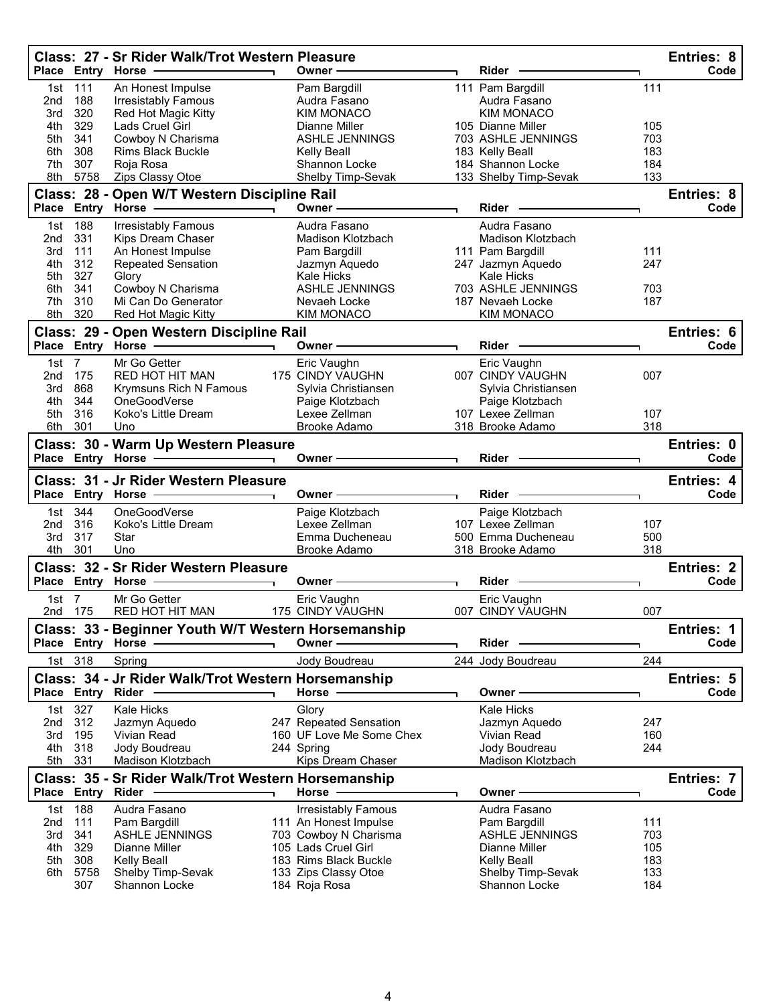|                 |                   | Class: 27 - Sr Rider Walk/Trot Western Pleasure           |                          |                                                    |                                       |            | Entries: 8<br>Code |
|-----------------|-------------------|-----------------------------------------------------------|--------------------------|----------------------------------------------------|---------------------------------------|------------|--------------------|
|                 |                   | Place Entry Horse -                                       |                          | Owner-                                             | Rider                                 |            |                    |
| 1st             | 111               | An Honest Impulse                                         |                          | Pam Bargdill                                       | 111 Pam Bargdill                      | 111        |                    |
| 2 <sub>nd</sub> | 188<br>320        | <b>Irresistably Famous</b>                                |                          | Audra Fasano                                       | Audra Fasano<br><b>KIM MONACO</b>     |            |                    |
| 3rd<br>4th      | 329               | Red Hot Magic Kitty<br>Lads Cruel Girl                    |                          | <b>KIM MONACO</b><br>Dianne Miller                 | 105 Dianne Miller                     | 105        |                    |
| 5th             | 341               | Cowboy N Charisma                                         |                          | <b>ASHLE JENNINGS</b>                              | 703 ASHLE JENNINGS                    | 703        |                    |
| 6th             | 308               | <b>Rims Black Buckle</b>                                  |                          | Kelly Beall                                        | 183 Kelly Beall                       | 183        |                    |
| 7th             | 307               | Roja Rosa                                                 |                          | Shannon Locke                                      | 184 Shannon Locke                     | 184        |                    |
| 8th             | 5758              | Zips Classy Otoe                                          |                          | Shelby Timp-Sevak                                  | 133 Shelby Timp-Sevak                 | 133        |                    |
|                 |                   | Class: 28 - Open W/T Western Discipline Rail              |                          |                                                    |                                       |            | Entries: 8         |
|                 |                   | Place Entry Horse                                         | $\overline{\phantom{0}}$ | Owner -                                            | Rider                                 |            | Code               |
| 1st             | 188               | <b>Irresistably Famous</b>                                |                          | Audra Fasano                                       | Audra Fasano                          |            |                    |
| 2 <sub>nd</sub> | 331               | Kips Dream Chaser                                         |                          | Madison Klotzbach                                  | Madison Klotzbach                     |            |                    |
| 3rd             | 111               | An Honest Impulse                                         |                          | Pam Bargdill                                       | 111 Pam Bargdill                      | 111        |                    |
| 4th             | 312               | <b>Repeated Sensation</b>                                 |                          | Jazmyn Aquedo                                      | 247 Jazmyn Aquedo                     | 247        |                    |
| 5th             | 327               | Glory                                                     |                          | <b>Kale Hicks</b>                                  | <b>Kale Hicks</b>                     |            |                    |
| 6th             | 341               | Cowboy N Charisma                                         |                          | <b>ASHLE JENNINGS</b>                              | 703 ASHLE JENNINGS                    | 703        |                    |
| 7th             | 310               | Mi Can Do Generator                                       |                          | Nevaeh Locke                                       | 187 Nevaeh Locke                      | 187        |                    |
| 8th             | 320               | Red Hot Magic Kitty                                       |                          | KIM MONACO                                         | <b>KIM MONACO</b>                     |            |                    |
|                 |                   | Class: 29 - Open Western Discipline Rail                  |                          |                                                    |                                       |            | Entries: 6         |
|                 |                   | Place Entry Horse -                                       |                          | Owner -                                            | Rider                                 |            | Code               |
| 1st             | $\overline{7}$    | Mr Go Getter                                              |                          | Eric Vaughn                                        | Eric Vaughn                           |            |                    |
| 2nd             | 175               | <b>RED HOT HIT MAN</b>                                    |                          | 175 CINDY VAUGHN                                   | 007 CINDY VAUGHN                      | 007        |                    |
| 3rd             | 868               | Krymsuns Rich N Famous                                    |                          | Sylvia Christiansen                                | Sylvia Christiansen                   |            |                    |
| 4th             | 344               | OneGoodVerse                                              |                          | Paige Klotzbach<br>Lexee Zellman                   | Paige Klotzbach                       |            |                    |
| 5th<br>6th      | 316<br>301        | Koko's Little Dream                                       |                          | Brooke Adamo                                       | 107 Lexee Zellman<br>318 Brooke Adamo | 107<br>318 |                    |
|                 |                   | Uno                                                       |                          |                                                    |                                       |            |                    |
|                 |                   | Class: 30 - Warm Up Western Pleasure<br>Place Entry Horse |                          | Owner –                                            | <b>Rider</b>                          |            | Entries: 0<br>Code |
|                 |                   |                                                           |                          |                                                    |                                       |            |                    |
|                 |                   |                                                           |                          |                                                    |                                       |            |                    |
|                 |                   | Class: 31 - Jr Rider Western Pleasure                     |                          |                                                    |                                       |            | Entries: 4         |
|                 |                   | Place Entry Horse -                                       |                          | Owner -                                            | Rider -                               |            | Code               |
| 1st             | 344               | OneGoodVerse                                              |                          | Paige Klotzbach                                    | Paige Klotzbach                       |            |                    |
| 2nd             | 316               | Koko's Little Dream                                       |                          | Lexee Zellman                                      | 107 Lexee Zellman                     | 107        |                    |
| 3rd             | 317               | Star                                                      |                          | Emma Ducheneau                                     | 500 Emma Ducheneau                    | 500        |                    |
| 4th             | 301               | Uno                                                       |                          | <b>Brooke Adamo</b>                                | 318 Brooke Adamo                      | 318        |                    |
|                 |                   | Class: 32 - Sr Rider Western Pleasure                     |                          |                                                    |                                       |            | <b>Entries: 2</b>  |
|                 | Place Entry Horse |                                                           |                          | Owner -                                            | Rider                                 |            | Code               |
| 1st $7$         |                   | Mr Go Getter                                              |                          | Eric Vaughn                                        | Eric Vaughn                           |            |                    |
|                 | 2nd 175           | RED HOT HIT MAN                                           |                          | 175 CINDY VAUGHN                                   | 007 CINDY VAUGHN                      | 007        |                    |
|                 |                   | Class: 33 - Beginner Youth W/T Western Horsemanship       |                          |                                                    |                                       |            | Entries: 1         |
|                 |                   | Place Entry Horse                                         |                          | Owner-                                             | Rider                                 |            | Code               |
| 1st             | 318               | Spring                                                    |                          | Jody Boudreau                                      | 244 Jody Boudreau                     | 244        |                    |
|                 |                   | Class: 34 - Jr Rider Walk/Trot Western Horsemanship       |                          |                                                    |                                       |            | Entries: 5         |
| <b>Place</b>    | Entry Rider       |                                                           |                          | Horse -                                            | Owner -                               |            | Code               |
| 1st             |                   | <b>Kale Hicks</b>                                         |                          |                                                    | <b>Kale Hicks</b>                     |            |                    |
| 2 <sub>nd</sub> | 327<br>312        | Jazmyn Aquedo                                             |                          | Glory                                              | Jazmyn Aquedo                         | 247        |                    |
| 3rd             | 195               | <b>Vivian Read</b>                                        |                          | 247 Repeated Sensation<br>160 UF Love Me Some Chex | Vivian Read                           | 160        |                    |
| 4th             | 318               | Jody Boudreau                                             |                          | 244 Spring                                         | Jody Boudreau                         | 244        |                    |
| 5th             | 331               | Madison Klotzbach                                         |                          | Kips Dream Chaser                                  | Madison Klotzbach                     |            |                    |
|                 |                   | Class: 35 - Sr Rider Walk/Trot Western Horsemanship       |                          |                                                    |                                       |            | Entries: 7         |
| <b>Place</b>    | Entry Rider       |                                                           |                          | Horse                                              | Owner -                               |            | Code               |
| 1st             | 188               | Audra Fasano                                              |                          | <b>Irresistably Famous</b>                         | Audra Fasano                          |            |                    |
| 2nd             | 111               | Pam Bargdill                                              |                          | 111 An Honest Impulse                              | Pam Bargdill                          | 111        |                    |
| 3rd             | 341               | <b>ASHLE JENNINGS</b>                                     |                          | 703 Cowboy N Charisma                              | <b>ASHLE JENNINGS</b>                 | 703        |                    |
| 4th             | 329               | Dianne Miller                                             |                          | 105 Lads Cruel Girl                                | Dianne Miller                         | 105        |                    |
| 5th             | 308               | <b>Kelly Beall</b>                                        |                          | 183 Rims Black Buckle                              | <b>Kelly Beall</b>                    | 183        |                    |
| 6th             | 5758<br>307       | Shelby Timp-Sevak<br>Shannon Locke                        |                          | 133 Zips Classy Otoe<br>184 Roja Rosa              | Shelby Timp-Sevak<br>Shannon Locke    | 133<br>184 |                    |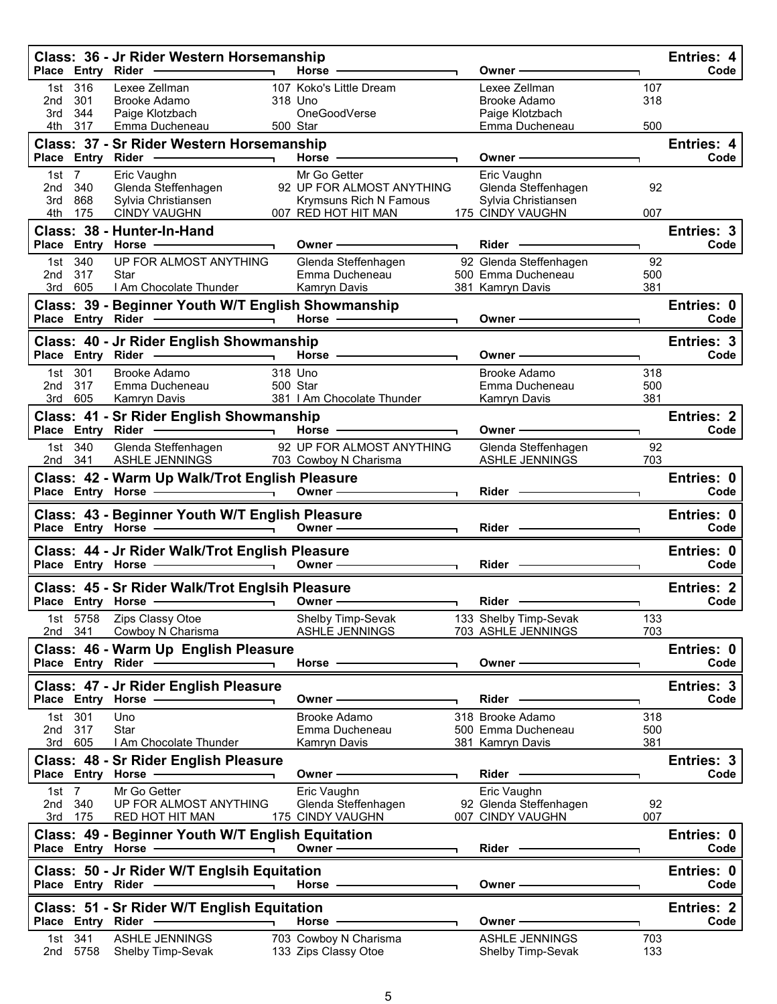|                |                    | Class: 36 - Jr Rider Western Horsemanship<br>Place Entry Rider - and the control of the state of the state of the state of the state of the state of the state of the state of the state of the state of the state of the state of the state of the state of the state of t | Horse -                                                                                                                                                                                                                        |                | Owner –                                      |            | Entries: 4<br>Code        |
|----------------|--------------------|-----------------------------------------------------------------------------------------------------------------------------------------------------------------------------------------------------------------------------------------------------------------------------|--------------------------------------------------------------------------------------------------------------------------------------------------------------------------------------------------------------------------------|----------------|----------------------------------------------|------------|---------------------------|
|                | 1st 316            | Lexee Zellman                                                                                                                                                                                                                                                               | 107 Koko's Little Dream                                                                                                                                                                                                        |                | Lexee Zellman                                | 107        |                           |
| 2nd<br>3rd     | 301<br>344         | Brooke Adamo<br>Paige Klotzbach                                                                                                                                                                                                                                             | 318 Uno<br>OneGoodVerse                                                                                                                                                                                                        |                | Brooke Adamo<br>Paige Klotzbach              | 318        |                           |
| 4th            | 317                | Emma Ducheneau                                                                                                                                                                                                                                                              | 500 Star                                                                                                                                                                                                                       |                | Emma Ducheneau                               | 500        |                           |
|                |                    | Class: 37 - Sr Rider Western Horsemanship                                                                                                                                                                                                                                   |                                                                                                                                                                                                                                |                |                                              |            | Entries: 4                |
|                |                    |                                                                                                                                                                                                                                                                             | Horse $\longrightarrow$                                                                                                                                                                                                        |                | Owner —                                      |            | Code                      |
| 1st $7$<br>2nd | 340                | Eric Vaughn<br>Glenda Steffenhagen                                                                                                                                                                                                                                          | Mr Go Getter<br>92 UP FOR ALMOST ANYTHING                                                                                                                                                                                      |                | Eric Vaughn                                  | 92         |                           |
| 3rd            | 868                | Sylvia Christiansen                                                                                                                                                                                                                                                         | Krymsuns Rich N Famous                                                                                                                                                                                                         |                | Glenda Steffenhagen<br>Sylvia Christiansen   |            |                           |
| 4th -          | 175                | <b>CINDY VAUGHN</b>                                                                                                                                                                                                                                                         | 007 RED HOT HIT MAN                                                                                                                                                                                                            |                | 175 CINDY VAUGHN                             | 007        |                           |
|                |                    | Class: 38 - Hunter-In-Hand                                                                                                                                                                                                                                                  |                                                                                                                                                                                                                                |                |                                              |            | Entries: 3                |
|                |                    | Place Entry Horse - and Discount of the Marian Place of the Marian Place of the Marian Place of the Marian Place                                                                                                                                                            | Owner-                                                                                                                                                                                                                         | $\blacksquare$ | Rider -                                      |            | Code                      |
| 2nd 317        | 1st 340            | UP FOR ALMOST ANYTHING<br>Star                                                                                                                                                                                                                                              | Glenda Steffenhagen<br>Emma Ducheneau                                                                                                                                                                                          |                | 92 Glenda Steffenhagen<br>500 Emma Ducheneau | 92<br>500  |                           |
|                | 3rd 605            | I Am Chocolate Thunder                                                                                                                                                                                                                                                      | Kamryn Davis                                                                                                                                                                                                                   |                | 381 Kamryn Davis                             | 381        |                           |
|                |                    | Class: 39 - Beginner Youth W/T English Showmanship                                                                                                                                                                                                                          |                                                                                                                                                                                                                                |                |                                              |            | Entries: 0                |
|                |                    | Place Entry Rider - and the control of the state of the state of the state of the state of the state of the state of the state of the state of the state of the state of the state of the state of the state of the state of t                                              | Horse $\longrightarrow$                                                                                                                                                                                                        |                | Owner-                                       |            | Code                      |
|                |                    | Class: 40 - Jr Rider English Showmanship                                                                                                                                                                                                                                    |                                                                                                                                                                                                                                |                |                                              |            | Entries: 3                |
|                |                    | Place Entry Rider - Flace Place                                                                                                                                                                                                                                             | Horse - The Management of the Management of the Management of the Management of the Management of the Management of the Management of the Management of the Management of the Management of the Management of the Management o |                | Owner-                                       |            | Code                      |
| 2nd            | 1st 301<br>317     | Brooke Adamo<br>Emma Ducheneau                                                                                                                                                                                                                                              | 318 Uno<br>500 Star                                                                                                                                                                                                            |                | Brooke Adamo<br>Emma Ducheneau               | 318<br>500 |                           |
|                | 3rd 605            | Kamryn Davis                                                                                                                                                                                                                                                                | 381   Am Chocolate Thunder                                                                                                                                                                                                     |                | Kamryn Davis                                 | 381        |                           |
|                |                    | Class: 41 - Sr Rider English Showmanship                                                                                                                                                                                                                                    |                                                                                                                                                                                                                                |                |                                              |            | <b>Entries: 2</b>         |
|                |                    |                                                                                                                                                                                                                                                                             | Horse $-$                                                                                                                                                                                                                      |                | Owner $-$                                    |            | Code                      |
|                | 1st 340<br>2nd 341 | Glenda Steffenhagen<br>ASHLE JENNINGS                                                                                                                                                                                                                                       | 92 UP FOR ALMOST ANYTHING<br>703 Cowboy N Charisma                                                                                                                                                                             |                | Glenda Steffenhagen<br>ASHLE JENNINGS        | 92<br>703  |                           |
|                |                    | Class: 42 - Warm Up Walk/Trot English Pleasure                                                                                                                                                                                                                              |                                                                                                                                                                                                                                |                |                                              |            | Entries: 0                |
|                |                    | Place Entry Horse - and the manufacturer of the manufacturer of the manufacturer of the manufacturer of the manufacturer of the manufacturer of the manufacturer of the manufacturer of the manufacturer of the manufacturer o                                              | Owner —                                                                                                                                                                                                                        |                | Rider -                                      |            | Code                      |
|                |                    |                                                                                                                                                                                                                                                                             |                                                                                                                                                                                                                                |                |                                              |            |                           |
|                |                    |                                                                                                                                                                                                                                                                             |                                                                                                                                                                                                                                |                |                                              |            | Entries: 0                |
|                |                    | Class: 43 - Beginner Youth W/T English Pleasure                                                                                                                                                                                                                             |                                                                                                                                                                                                                                |                | Rider —                                      |            | Code                      |
|                |                    |                                                                                                                                                                                                                                                                             |                                                                                                                                                                                                                                |                |                                              |            | Entries: 0                |
|                |                    | Class: 44 - Jr Rider Walk/Trot English Pleasure                                                                                                                                                                                                                             |                                                                                                                                                                                                                                |                |                                              |            | Code                      |
|                |                    | Class: 45 - Sr Rider Walk/Trot Englsih Pleasure                                                                                                                                                                                                                             |                                                                                                                                                                                                                                |                |                                              |            | <b>Entries: 2</b>         |
|                |                    |                                                                                                                                                                                                                                                                             | Owner -                                                                                                                                                                                                                        |                | <b>Rider</b>                                 |            | Code                      |
|                | 1st 5758           | Zips Classy Otoe                                                                                                                                                                                                                                                            | Shelby Timp-Sevak                                                                                                                                                                                                              |                | 133 Shelby Timp-Sevak                        | 133        |                           |
| 2nd 341        |                    | Cowboy N Charisma                                                                                                                                                                                                                                                           | ASHLE JENNINGS                                                                                                                                                                                                                 |                | 703 ASHLE JENNINGS                           | 703        |                           |
|                |                    | Class: 46 - Warm Up English Pleasure                                                                                                                                                                                                                                        | Horse -                                                                                                                                                                                                                        |                | Owner -                                      |            | Entries: 0<br>Code        |
|                |                    |                                                                                                                                                                                                                                                                             |                                                                                                                                                                                                                                |                |                                              |            |                           |
|                |                    | Class: 47 - Jr Rider English Pleasure<br>Place Entry Horse -                                                                                                                                                                                                                | Owner -                                                                                                                                                                                                                        |                | <b>Rider</b>                                 |            | <b>Entries: 3</b><br>Code |
| 1st            | 301                | Uno                                                                                                                                                                                                                                                                         | Brooke Adamo                                                                                                                                                                                                                   |                | 318 Brooke Adamo                             | 318        |                           |
| 2nd            | 317                | <b>Star</b>                                                                                                                                                                                                                                                                 | Emma Ducheneau                                                                                                                                                                                                                 |                | 500 Emma Ducheneau                           | 500        |                           |
| 3rd            | 605                | I Am Chocolate Thunder                                                                                                                                                                                                                                                      | Kamryn Davis                                                                                                                                                                                                                   |                | 381 Kamryn Davis                             | 381        |                           |
|                |                    | Class: 48 - Sr Rider English Pleasure<br>Place Entry Horse                                                                                                                                                                                                                  | Owner -                                                                                                                                                                                                                        |                | Rider -                                      |            | Entries: 3<br>Code        |
| 1st            | $\overline{7}$     | Mr Go Getter                                                                                                                                                                                                                                                                | Eric Vaughn                                                                                                                                                                                                                    |                | Eric Vaughn                                  |            |                           |
| 2nd            | 340                | UP FOR ALMOST ANYTHING                                                                                                                                                                                                                                                      | Glenda Steffenhagen                                                                                                                                                                                                            |                | 92 Glenda Steffenhagen                       | 92         |                           |
|                | 3rd 175            | RED HOT HIT MAN                                                                                                                                                                                                                                                             | 175 CINDY VAUGHN                                                                                                                                                                                                               |                | 007 CINDY VAUGHN                             | 007        |                           |
|                |                    | Class: 49 - Beginner Youth W/T English Equitation<br>Place Entry Horse                                                                                                                                                                                                      | Owner-                                                                                                                                                                                                                         |                | Rider -                                      |            | Entries: 0<br>Code        |
|                |                    |                                                                                                                                                                                                                                                                             |                                                                                                                                                                                                                                |                |                                              |            |                           |
|                |                    | Class: 50 - Jr Rider W/T Englsih Equitation<br>Place Entry Rider -<br>$\sim$ $\sim$ $\sim$ $\sim$ $\sim$ $\sim$ $\sim$                                                                                                                                                      | Horse $-$                                                                                                                                                                                                                      |                | Owner-                                       |            | Entries: 0<br>Code        |
|                |                    |                                                                                                                                                                                                                                                                             |                                                                                                                                                                                                                                |                |                                              |            |                           |
|                |                    | Class: 51 - Sr Rider W/T English Equitation<br>Place Entry Rider -                                                                                                                                                                                                          | Horse -                                                                                                                                                                                                                        |                | Owner                                        |            | <b>Entries: 2</b><br>Code |
| 1st l<br>2nd   | 341<br>5758        | <b>ASHLE JENNINGS</b><br>Shelby Timp-Sevak                                                                                                                                                                                                                                  | 703 Cowboy N Charisma<br>133 Zips Classy Otoe                                                                                                                                                                                  |                | <b>ASHLE JENNINGS</b><br>Shelby Timp-Sevak   | 703<br>133 |                           |